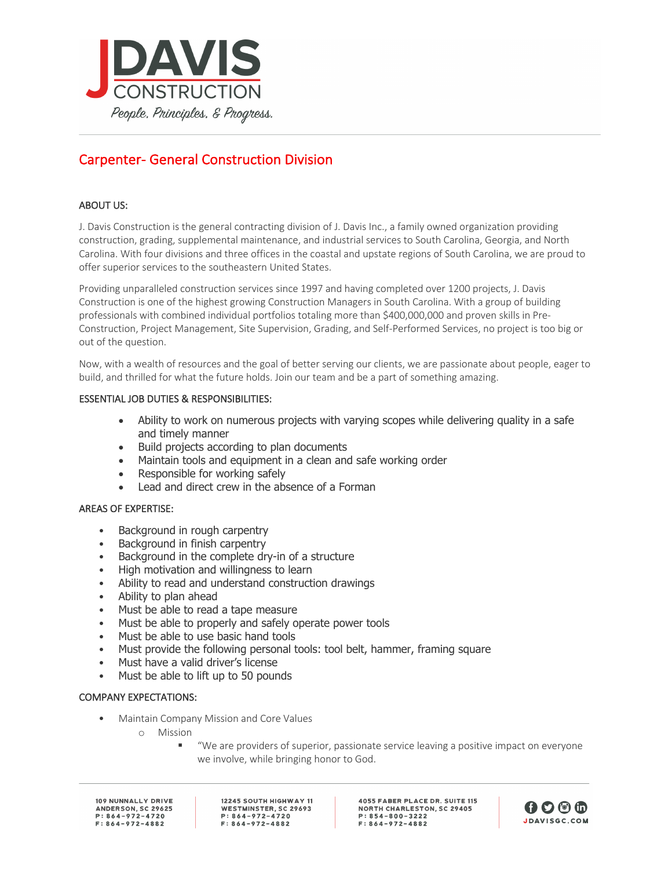

# Carpenter- General Construction Division

# ABOUT US:

J. Davis Construction is the general contracting division of J. Davis Inc., a family owned organization providing construction, grading, supplemental maintenance, and industrial services to South Carolina, Georgia, and North Carolina. With four divisions and three offices in the coastal and upstate regions of South Carolina, we are proud to offer superior services to the southeastern United States.

Providing unparalleled construction services since 1997 and having completed over 1200 projects, J. Davis Construction is one of the highest growing Construction Managers in South Carolina. With a group of building professionals with combined individual portfolios totaling more than \$400,000,000 and proven skills in Pre-Construction, Project Management, Site Supervision, Grading, and Self-Performed Services, no project is too big or out of the question.

Now, with a wealth of resources and the goal of better serving our clients, we are passionate about people, eager to build, and thrilled for what the future holds. Join our team and be a part of something amazing.

## ESSENTIAL JOB DUTIES & RESPONSIBILITIES:

- Ability to work on numerous projects with varying scopes while delivering quality in a safe and timely manner
- Build projects according to plan documents
- Maintain tools and equipment in a clean and safe working order
- Responsible for working safely
- Lead and direct crew in the absence of a Forman

#### AREAS OF EXPERTISE:

- Background in rough carpentry
- Background in finish carpentry
- Background in the complete dry-in of a structure
- High motivation and willingness to learn
- Ability to read and understand construction drawings
- Ability to plan ahead
- Must be able to read a tape measure
- Must be able to properly and safely operate power tools
- Must be able to use basic hand tools
- Must provide the following personal tools: tool belt, hammer, framing square
- Must have a valid driver's license
- Must be able to lift up to 50 pounds

#### COMPANY EXPECTATIONS:

- Maintain Company Mission and Core Values
	- o Mission
		- § "We are providers of superior, passionate service leaving a positive impact on everyone we involve, while bringing honor to God.

109 NUNNALLY DRIVE ANDERSON, SC 29625  $P: 864 - 972 - 4720$  $F: 864 - 972 - 4882$ 

12245 SOUTH HIGHWAY 11 WESTMINSTER, SC 29693  $P: 864 - 972 - 4720$  $F: 864 - 972 - 4882$ 

**4055 FABER PLACE DR. SUITE 115 NORTH CHARLESTON, SC 29405**  $P: 854 - 800 - 3222$  $F: 864 - 972 - 4882$